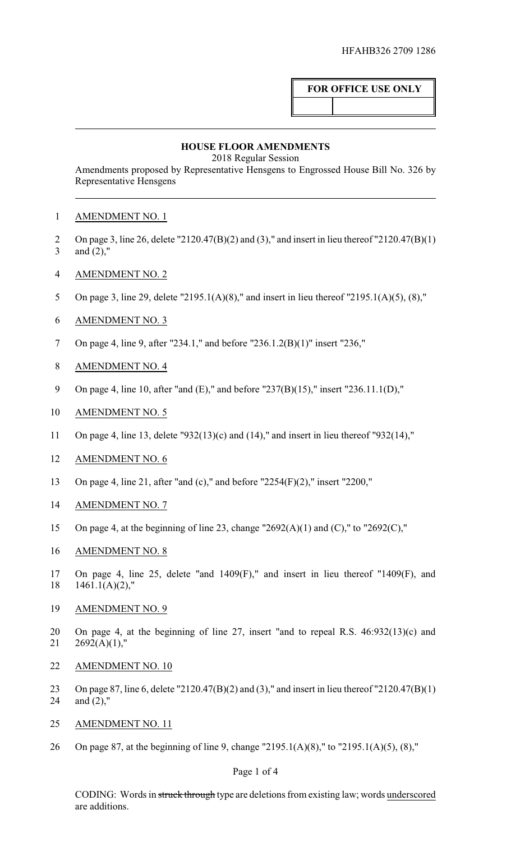# **FOR OFFICE USE ONLY**

#### **HOUSE FLOOR AMENDMENTS**

2018 Regular Session

Amendments proposed by Representative Hensgens to Engrossed House Bill No. 326 by Representative Hensgens

## AMENDMENT NO. 1

- On page 3, line 26, delete "2120.47(B)(2) and (3)," and insert in lieu thereof "2120.47(B)(1) and (2),"
- AMENDMENT NO. 2
- 5 On page 3, line 29, delete "2195.1(A)(8)," and insert in lieu thereof "2195.1(A)(5), (8),"
- AMENDMENT NO. 3
- On page 4, line 9, after "234.1," and before "236.1.2(B)(1)" insert "236,"
- AMENDMENT NO. 4
- On page 4, line 10, after "and (E)," and before "237(B)(15)," insert "236.11.1(D),"
- AMENDMENT NO. 5
- On page 4, line 13, delete "932(13)(c) and (14)," and insert in lieu thereof "932(14),"
- AMENDMENT NO. 6
- On page 4, line 21, after "and (c)," and before "2254(F)(2)," insert "2200,"
- AMENDMENT NO. 7
- On page 4, at the beginning of line 23, change "2692(A)(1) and (C)," to "2692(C),"
- AMENDMENT NO. 8
- On page 4, line 25, delete "and 1409(F)," and insert in lieu thereof "1409(F), and  $18 \quad 1461.1(A)(2)$ ,"
- AMENDMENT NO. 9
- On page 4, at the beginning of line 27, insert "and to repeal R.S. 46:932(13)(c) and  $21 \quad 2692(A)(1)$ ,"
- AMENDMENT NO. 10
- On page 87, line 6, delete "2120.47(B)(2) and (3)," and insert in lieu thereof "2120.47(B)(1) and (2),"
- AMENDMENT NO. 11
- On page 87, at the beginning of line 9, change "2195.1(A)(8)," to "2195.1(A)(5), (8),"

## Page 1 of 4

CODING: Words in struck through type are deletions from existing law; words underscored are additions.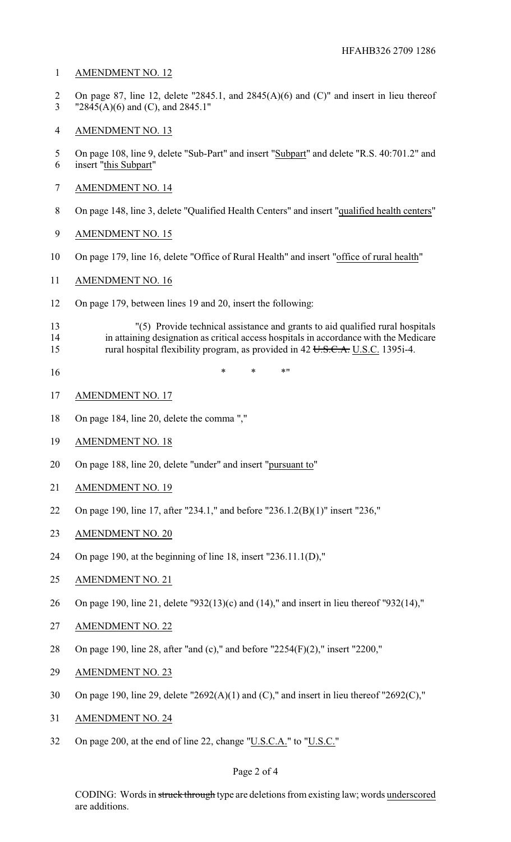#### AMENDMENT NO. 12

- On page 87, line 12, delete "2845.1, and 2845(A)(6) and (C)" and insert in lieu thereof "2845(A)(6) and (C), and 2845.1"
- AMENDMENT NO. 13
- 5 On page 108, line 9, delete "Sub-Part" and insert "Subpart" and delete "R.S. 40:701.2" and insert "this Subpart"
- AMENDMENT NO. 14
- On page 148, line 3, delete "Qualified Health Centers" and insert "qualified health centers"
- AMENDMENT NO. 15
- On page 179, line 16, delete "Office of Rural Health" and insert "office of rural health"
- AMENDMENT NO. 16
- On page 179, between lines 19 and 20, insert the following:
- "(5) Provide technical assistance and grants to aid qualified rural hospitals 14 in attaining designation as critical access hospitals in accordance with the Medicare<br>15 cural hospital flexibility program, as provided in 42 U.S.C.A. U.S.C. 1395i-4. rural hospital flexibility program, as provided in U.S.C.A. U.S.C. 1395i-4.
- $16 \quad * \quad * \quad * \quad * \quad$
- AMENDMENT NO. 17
- On page 184, line 20, delete the comma ","
- AMENDMENT NO. 18
- 20 On page 188, line 20, delete "under" and insert "pursuant to"
- AMENDMENT NO. 19
- On page 190, line 17, after "234.1," and before "236.1.2(B)(1)" insert "236,"
- AMENDMENT NO. 20
- On page 190, at the beginning of line 18, insert "236.11.1(D),"
- AMENDMENT NO. 21
- On page 190, line 21, delete "932(13)(c) and (14)," and insert in lieu thereof "932(14),"
- AMENDMENT NO. 22
- On page 190, line 28, after "and (c)," and before "2254(F)(2)," insert "2200,"
- AMENDMENT NO. 23
- On page 190, line 29, delete "2692(A)(1) and (C)," and insert in lieu thereof "2692(C),"
- AMENDMENT NO. 24
- On page 200, at the end of line 22, change "U.S.C.A." to "U.S.C."

#### Page 2 of 4

CODING: Words in struck through type are deletions from existing law; words underscored are additions.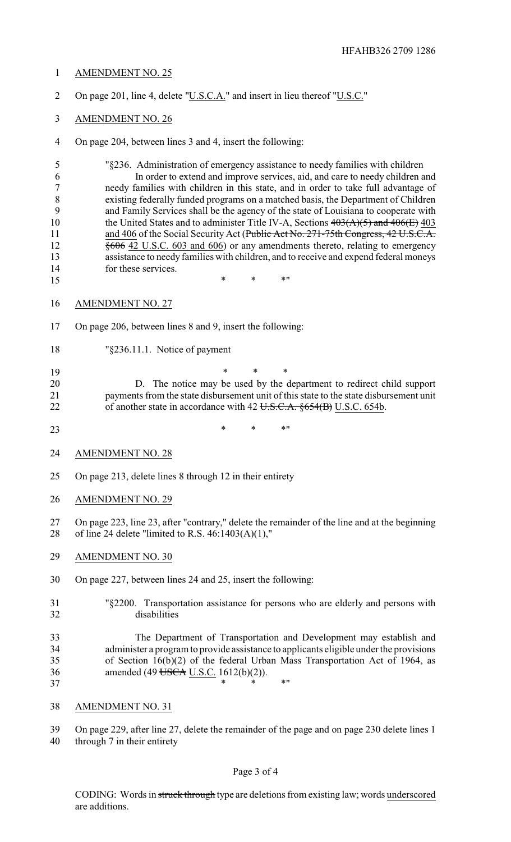- AMENDMENT NO. 25
- 2 On page 201, line 4, delete "U.S.C.A." and insert in lieu thereof "U.S.C."
- AMENDMENT NO. 26
- On page 204, between lines 3 and 4, insert the following:

 "§236. Administration of emergency assistance to needy families with children In order to extend and improve services, aid, and care to needy children and needy families with children in this state, and in order to take full advantage of existing federally funded programs on a matched basis, the Department of Children and Family Services shall be the agency of the state of Louisiana to cooperate with 10 the United States and to administer Title IV-A, Sections  $403(A)(5)$  and  $406(E)$  403 11 and 406 of the Social Security Act (Public Act No. 271-75th Congress, 42 U.S.C.A. §606 42 U.S.C. 603 and 606) or any amendments thereto, relating to emergency assistance to needy families with children, and to receive and expend federal moneys for these services.

- \* \* \* \* "
- AMENDMENT NO. 27
- On page 206, between lines 8 and 9, insert the following:
- "§236.11.1. Notice of payment
- \* \* \*
- D. The notice may be used by the department to redirect child support payments from the state disbursement unit of this state to the state disbursement unit 22 of another state in accordance with 42 U.S.C.A. §654(B) U.S.C. 654b.
- 23 \* \* \* \* \* \*
- AMENDMENT NO. 28
- On page 213, delete lines 8 through 12 in their entirety
- AMENDMENT NO. 29
- On page 223, line 23, after "contrary," delete the remainder of the line and at the beginning of line 24 delete "limited to R.S. 46:1403(A)(1),"
- AMENDMENT NO. 30
- On page 227, between lines 24 and 25, insert the following:
- "§2200. Transportation assistance for persons who are elderly and persons with disabilities

 The Department of Transportation and Development may establish and administer a program to provide assistance to applicants eligible under the provisions of Section 16(b)(2) of the federal Urban Mass Transportation Act of 1964, as 36 amended (49 USCA U.S.C. 1612(b)(2)). 37 \* \* \* \* \*

- AMENDMENT NO. 31
- On page 229, after line 27, delete the remainder of the page and on page 230 delete lines 1 through 7 in their entirety

#### Page 3 of 4

CODING: Words in struck through type are deletions from existing law; words underscored are additions.